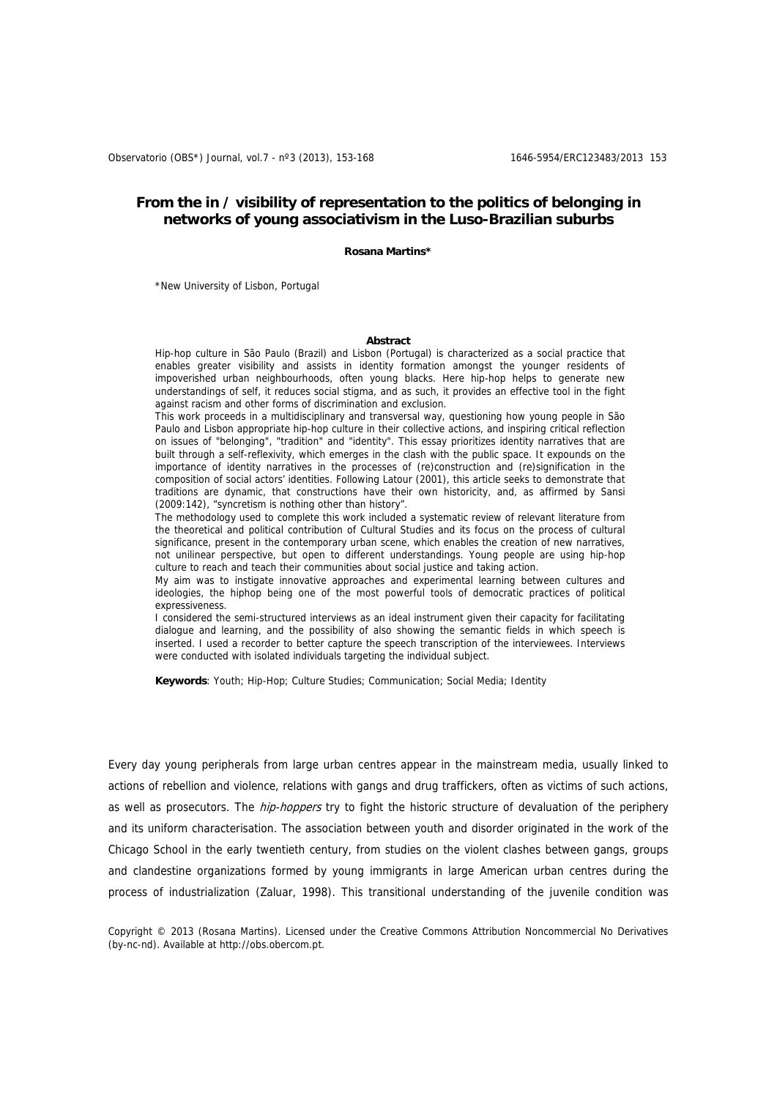## **From the in / visibility of representation to the politics of belonging in networks of young associativism in the Luso-Brazilian suburbs**

**Rosana Martins\*** 

\*New University of Lisbon, Portugal

#### **Abstract**

Hip-hop culture in São Paulo (Brazil) and Lisbon (Portugal) is characterized as a social practice that enables greater visibility and assists in identity formation amongst the younger residents of impoverished urban neighbourhoods, often young blacks. Here hip-hop helps to generate new understandings of self, it reduces social stigma, and as such, it provides an effective tool in the fight against racism and other forms of discrimination and exclusion.

This work proceeds in a multidisciplinary and transversal way, questioning how young people in São Paulo and Lisbon appropriate hip-hop culture in their collective actions, and inspiring critical reflection on issues of "belonging", "tradition" and "identity". This essay prioritizes identity narratives that are built through a self-reflexivity, which emerges in the clash with the public space. It expounds on the importance of identity narratives in the processes of (re)construction and (re)signification in the composition of social actors' identities. Following Latour (2001), this article seeks to demonstrate that traditions are dynamic, that constructions have their own historicity, and, as affirmed by Sansi (2009:142), "syncretism is nothing other than history".

The methodology used to complete this work included a systematic review of relevant literature from the theoretical and political contribution of Cultural Studies and its focus on the process of cultural significance, present in the contemporary urban scene, which enables the creation of new narratives, not unilinear perspective, but open to different understandings. Young people are using hip-hop culture to reach and teach their communities about social justice and taking action.

My aim was to instigate innovative approaches and experimental learning between cultures and ideologies, the hiphop being one of the most powerful tools of democratic practices of political expressiveness.

I considered the semi-structured interviews as an ideal instrument given their capacity for facilitating dialogue and learning, and the possibility of also showing the semantic fields in which speech is inserted. I used a recorder to better capture the speech transcription of the interviewees. Interviews were conducted with isolated individuals targeting the individual subject.

**Keywords**: Youth; Hip-Hop; Culture Studies; Communication; Social Media; Identity

Every day young peripherals from large urban centres appear in the mainstream media, usually linked to actions of rebellion and violence, relations with gangs and drug traffickers, often as victims of such actions, as well as prosecutors. The *hip-hoppers* try to fight the historic structure of devaluation of the periphery and its uniform characterisation. The association between youth and disorder originated in the work of the Chicago School in the early twentieth century, from studies on the violent clashes between gangs, groups and clandestine organizations formed by young immigrants in large American urban centres during the process of industrialization (Zaluar, 1998). This transitional understanding of the juvenile condition was

Copyright © 2013 (Rosana Martins). Licensed under the Creative Commons Attribution Noncommercial No Derivatives (by-nc-nd). Available at http://obs.obercom.pt.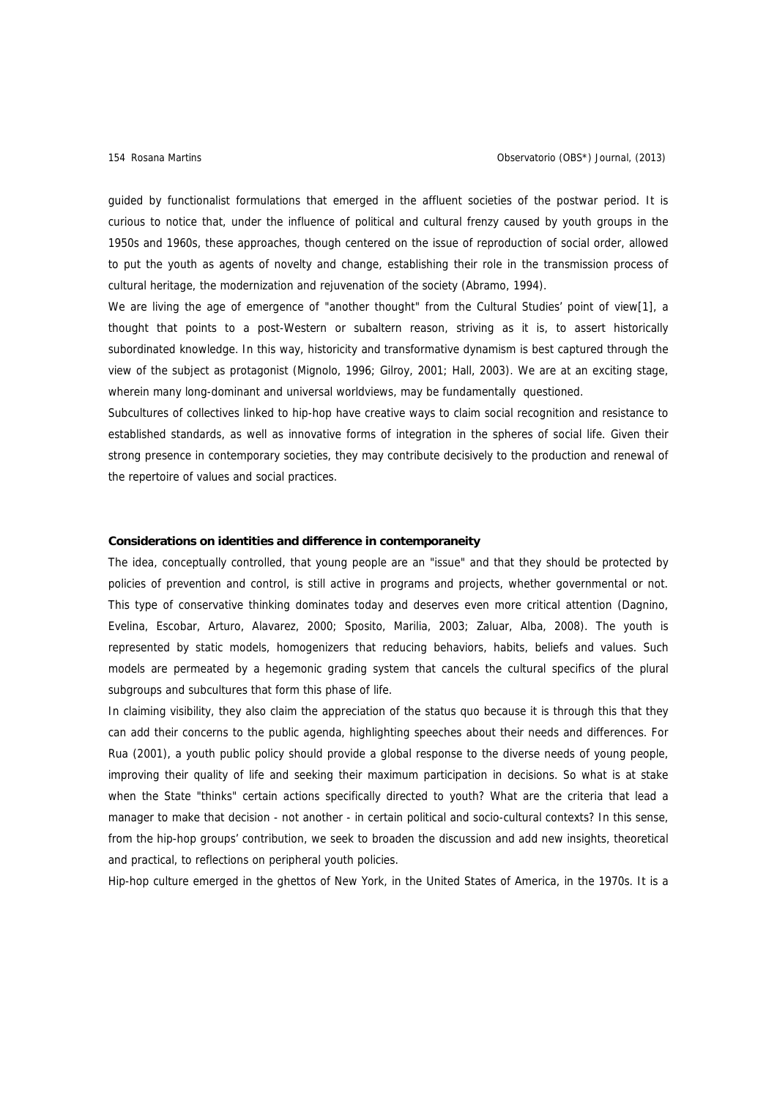guided by functionalist formulations that emerged in the affluent societies of the postwar period. It is curious to notice that, under the influence of political and cultural frenzy caused by youth groups in the 1950s and 1960s, these approaches, though centered on the issue of reproduction of social order, allowed to put the youth as agents of novelty and change, establishing their role in the transmission process of cultural heritage, the modernization and rejuvenation of the society (Abramo, 1994).

We are living the age of emergence of "another thought" from the Cultural Studies' point of view[1], a thought that points to a post-Western or subaltern reason, striving as it is, to assert historically subordinated knowledge. In this way, historicity and transformative dynamism is best captured through the view of the subject as protagonist (Mignolo, 1996; Gilroy, 2001; Hall, 2003). We are at an exciting stage, wherein many long-dominant and universal worldviews, may be fundamentally questioned.

Subcultures of collectives linked to hip-hop have creative ways to claim social recognition and resistance to established standards, as well as innovative forms of integration in the spheres of social life. Given their strong presence in contemporary societies, they may contribute decisively to the production and renewal of the repertoire of values and social practices.

### **Considerations on identities and difference in contemporaneity**

The idea, conceptually controlled, that young people are an "issue" and that they should be protected by policies of prevention and control, is still active in programs and projects, whether governmental or not. This type of conservative thinking dominates today and deserves even more critical attention (Dagnino, Evelina, Escobar, Arturo, Alavarez, 2000; Sposito, Marilia, 2003; Zaluar, Alba, 2008). The youth is represented by static models, homogenizers that reducing behaviors, habits, beliefs and values. Such models are permeated by a hegemonic grading system that cancels the cultural specifics of the plural subgroups and subcultures that form this phase of life.

In claiming visibility, they also claim the appreciation of the status quo because it is through this that they can add their concerns to the public agenda, highlighting speeches about their needs and differences. For Rua (2001), a youth public policy should provide a global response to the diverse needs of young people, improving their quality of life and seeking their maximum participation in decisions. So what is at stake when the State "thinks" certain actions specifically directed to youth? What are the criteria that lead a manager to make that decision - not another - in certain political and socio-cultural contexts? In this sense, from the hip-hop groups' contribution, we seek to broaden the discussion and add new insights, theoretical and practical, to reflections on peripheral youth policies.

Hip-hop culture emerged in the ghettos of New York, in the United States of America, in the 1970s. It is a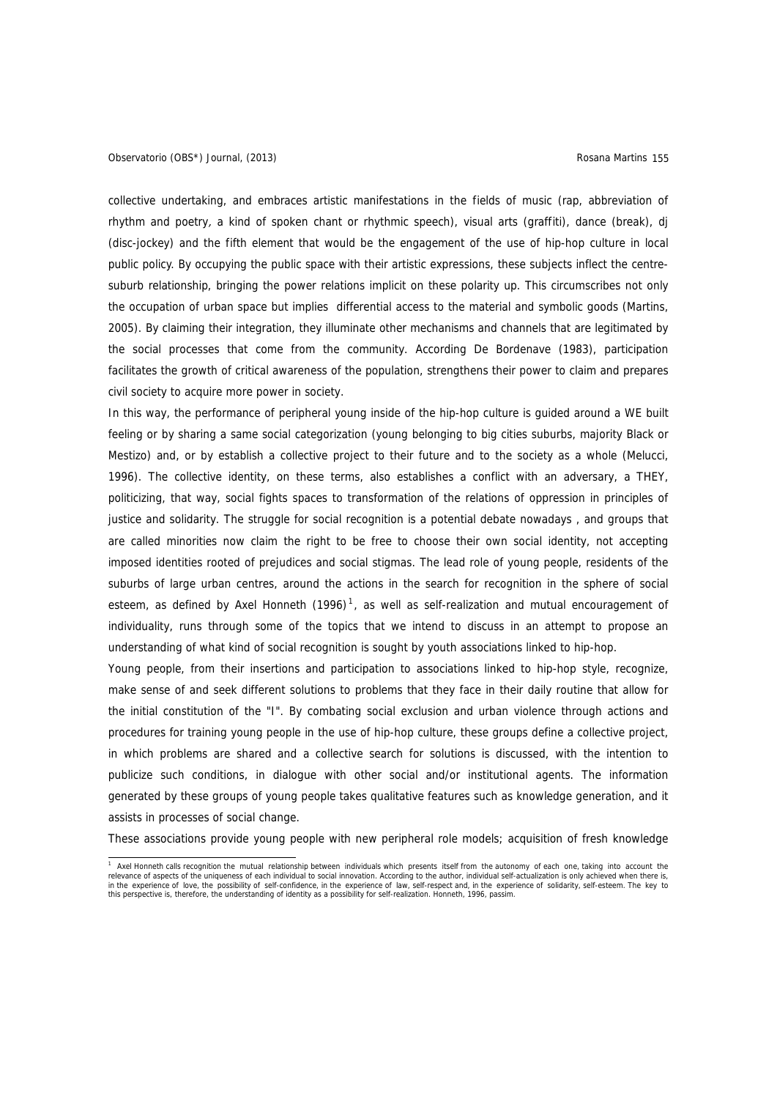collective undertaking, and embraces artistic manifestations in the fields of music (rap, abbreviation of rhythm and poetry, a kind of spoken chant or rhythmic speech), visual arts (graffiti), dance (break), dj (disc-jockey) and the fifth element that would be the engagement of the use of hip-hop culture in local public policy. By occupying the public space with their artistic expressions, these subjects inflect the centresuburb relationship, bringing the power relations implicit on these polarity up. This circumscribes not only the occupation of urban space but implies differential access to the material and symbolic goods (Martins, 2005). By claiming their integration, they illuminate other mechanisms and channels that are legitimated by the social processes that come from the community. According De Bordenave (1983), participation facilitates the growth of critical awareness of the population, strengthens their power to claim and prepares civil society to acquire more power in society.

In this way, the performance of peripheral young inside of the hip-hop culture is guided around a WE built feeling or by sharing a same social categorization (young belonging to big cities suburbs, majority Black or Mestizo) and, or by establish a collective project to their future and to the society as a whole (Melucci, 1996). The collective identity, on these terms, also establishes a conflict with an adversary, a THEY, politicizing, that way, social fights spaces to transformation of the relations of oppression in principles of justice and solidarity. The struggle for social recognition is a potential debate nowadays , and groups that are called minorities now claim the right to be free to choose their own social identity, not accepting imposed identities rooted of prejudices and social stigmas. The lead role of young people, residents of the suburbs of large urban centres, around the actions in the search for recognition in the sphere of social esteem, as defined by Axel Honneth  $(1996)^1$  $(1996)^1$  $(1996)^1$ , as well as self-realization and mutual encouragement of individuality, runs through some of the topics that we intend to discuss in an attempt to propose an understanding of what kind of social recognition is sought by youth associations linked to hip-hop.

Young people, from their insertions and participation to associations linked to hip-hop style, recognize, make sense of and seek different solutions to problems that they face in their daily routine that allow for the initial constitution of the "I". By combating social exclusion and urban violence through actions and procedures for training young people in the use of hip-hop culture, these groups define a collective project, in which problems are shared and a collective search for solutions is discussed, with the intention to publicize such conditions, in dialogue with other social and/or institutional agents. The information generated by these groups of young people takes qualitative features such as knowledge generation, and it assists in processes of social change.

These associations provide young people with new peripheral role models; acquisition of fresh knowledge

<span id="page-2-0"></span><sup>1</sup> Axel Honneth calls recognition the mutual relationship between individuals which presents itself from the autonomy of each one, taking into account the relevance of aspects of the uniqueness of each individual to social innovation. According to the author, individual self-actualization is only achieved when there is, in the experience of love, the possibility of self-confidence, in the experience of law, self-respect and, in the experience of solidarity, self-esteem. The key to this perspective is, therefore, the understanding of identity as a possibility for self-realization. Honneth, 1996, passim.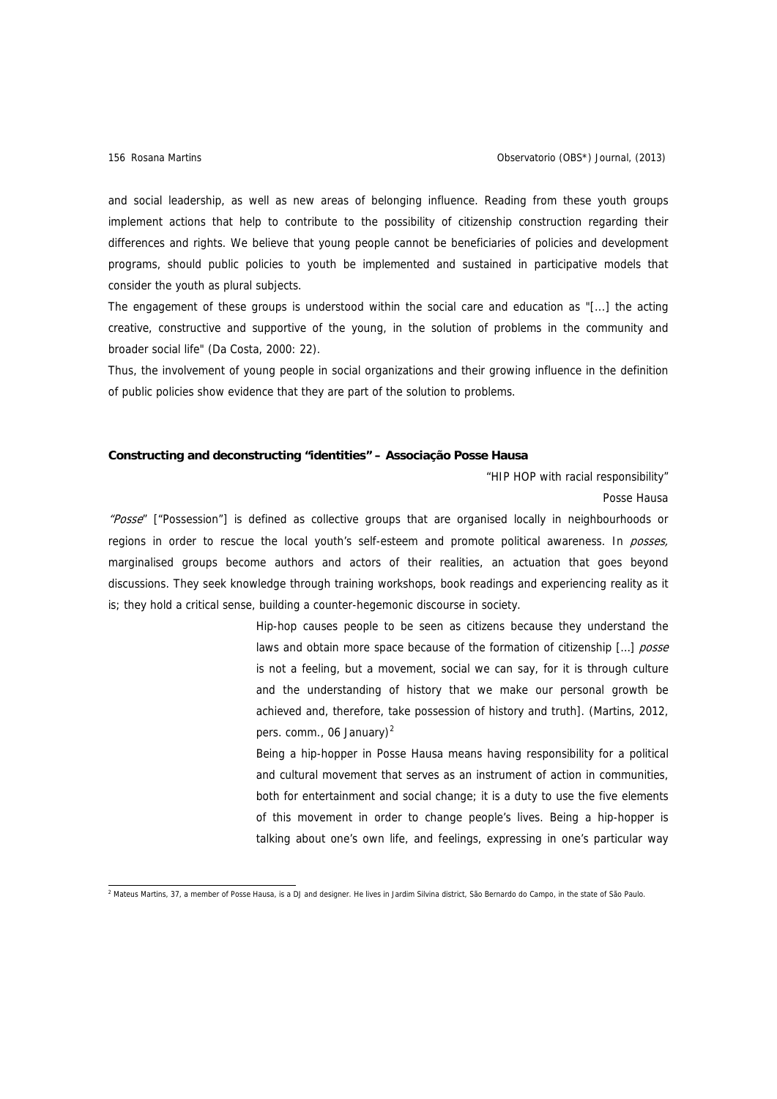and social leadership, as well as new areas of belonging influence. Reading from these youth groups implement actions that help to contribute to the possibility of citizenship construction regarding their differences and rights. We believe that young people cannot be beneficiaries of policies and development programs, should public policies to youth be implemented and sustained in participative models that consider the youth as plural subjects.

The engagement of these groups is understood within the social care and education as "[...] the acting creative, constructive and supportive of the young, in the solution of problems in the community and broader social life" (Da Costa, 2000: 22).

Thus, the involvement of young people in social organizations and their growing influence in the definition of public policies show evidence that they are part of the solution to problems.

## **Constructing and deconstructing "identities" – Associação Posse Hausa**

"HIP HOP with racial responsibility"

### Posse Hausa

"Posse" ["Possession"] is defined as collective groups that are organised locally in neighbourhoods or regions in order to rescue the local youth's self-esteem and promote political awareness. In *posses*, marginalised groups become authors and actors of their realities, an actuation that goes beyond discussions. They seek knowledge through training workshops, book readings and experiencing reality as it is; they hold a critical sense, building a counter-hegemonic discourse in society.

> Hip-hop causes people to be seen as citizens because they understand the laws and obtain more space because of the formation of citizenship [...] posse is not a feeling, but a movement, social we can say, for it is through culture and the understanding of history that we make our personal growth be achieved and, therefore, take possession of history and truth]. (Martins, 2012, pers. comm., 06 January)<sup>[2](#page-3-0)</sup>

> Being a hip-hopper in Posse Hausa means having responsibility for a political and cultural movement that serves as an instrument of action in communities, both for entertainment and social change; it is a duty to use the five elements of this movement in order to change people's lives. Being a hip-hopper is talking about one's own life, and feelings, expressing in one's particular way

<span id="page-3-0"></span> 2 Mateus Martins, 37, a member of Posse Hausa, is a DJ and designer. He lives in Jardim Silvina district, São Bernardo do Campo, in the state of São Paulo.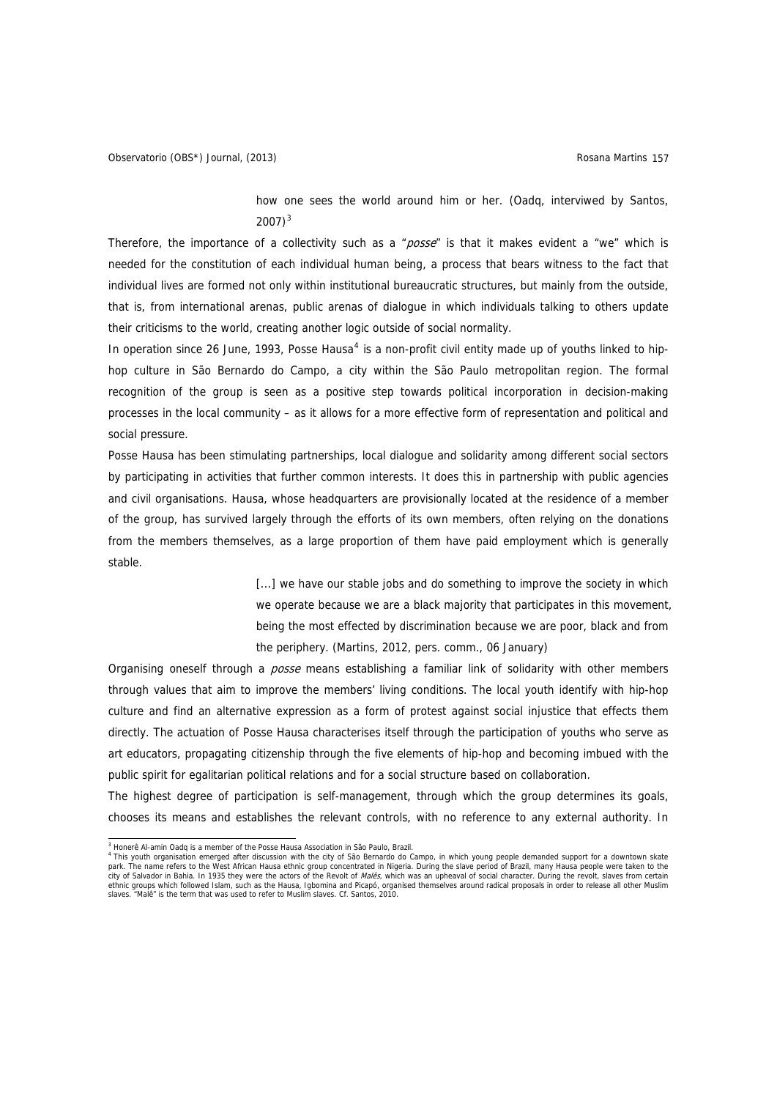how one sees the world around him or her. (Oadg, interviwed by Santos,  $2007)^{3}$  $2007)^{3}$  $2007)^{3}$ 

Therefore, the importance of a collectivity such as a "posse" is that it makes evident a "we" which is needed for the constitution of each individual human being, a process that bears witness to the fact that individual lives are formed not only within institutional bureaucratic structures, but mainly from the outside, that is, from international arenas, public arenas of dialogue in which individuals talking to others update their criticisms to the world, creating another logic outside of social normality.

In operation since 26 June, 1993, Posse Hausa<sup>[4](#page-4-1)</sup> is a non-profit civil entity made up of youths linked to hiphop culture in São Bernardo do Campo, a city within the São Paulo metropolitan region. The formal recognition of the group is seen as a positive step towards political incorporation in decision-making processes in the local community – as it allows for a more effective form of representation and political and social pressure.

Posse Hausa has been stimulating partnerships, local dialogue and solidarity among different social sectors by participating in activities that further common interests. It does this in partnership with public agencies and civil organisations. Hausa, whose headquarters are provisionally located at the residence of a member of the group, has survived largely through the efforts of its own members, often relying on the donations from the members themselves, as a large proportion of them have paid employment which is generally stable.

> [...] we have our stable jobs and do something to improve the society in which we operate because we are a black majority that participates in this movement, being the most effected by discrimination because we are poor, black and from the periphery. (Martins, 2012, pers. comm., 06 January)

Organising oneself through a *posse* means establishing a familiar link of solidarity with other members through values that aim to improve the members' living conditions. The local youth identify with hip-hop culture and find an alternative expression as a form of protest against social injustice that effects them directly. The actuation of Posse Hausa characterises itself through the participation of youths who serve as art educators, propagating citizenship through the five elements of hip-hop and becoming imbued with the public spirit for egalitarian political relations and for a social structure based on collaboration.

The highest degree of participation is self-management, through which the group determines its goals, chooses its means and establishes the relevant controls, with no reference to any external authority. In

<span id="page-4-1"></span><span id="page-4-0"></span>

a<br>Thoneré Al-amin Oadq is a member of the Posse Hausa Association in São Paulo, Brazil.<br><sup>4</sup> This youth organisation emerged after discussion with the city of São Bernardo do Campo, in which young people demanded support fo park. The name refers to the West African Hausa ethnic group concentrated in Nigeria. During the slave period of Brazil, many Hausa people were taken to the<br>city of Salvador in Bahia. In 1935 they were the actors of the Re ethnic groups which followed Islam, such as the Hausa, Igbomina and Picapó, organised themselves around radical proposals in order to release all other Muslim<br>slaves. "Malê" is the term that was used to refer to Muslim sla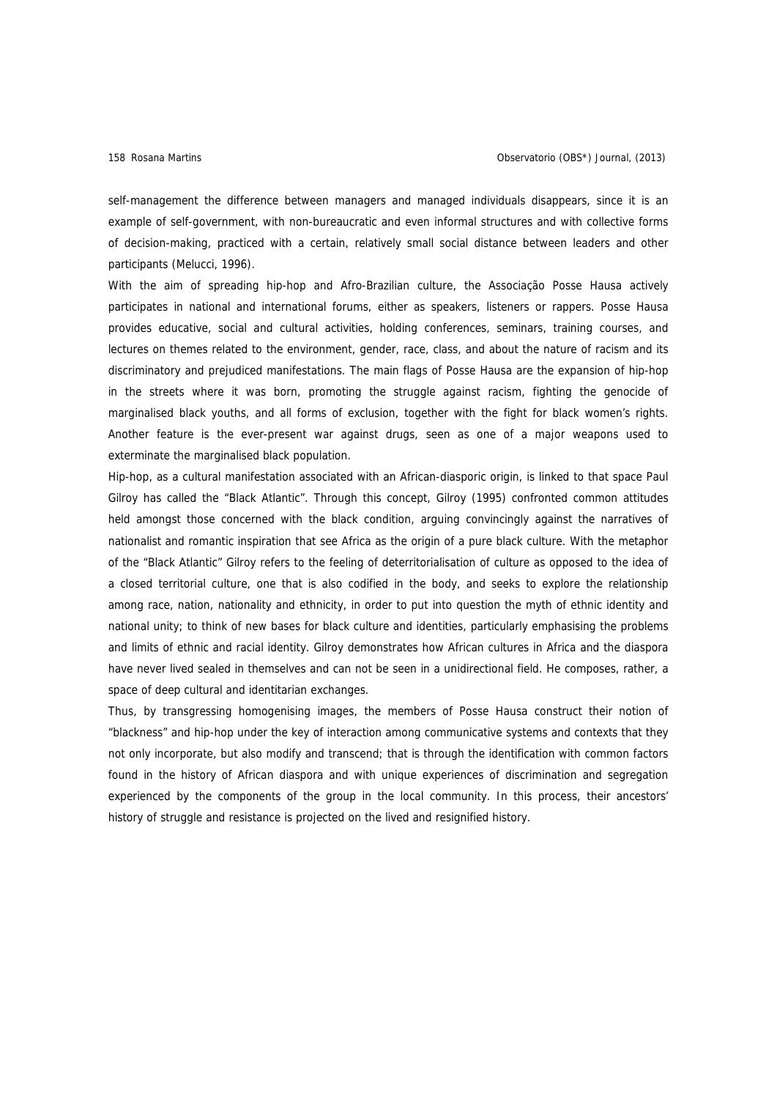self-management the difference between managers and managed individuals disappears, since it is an example of self-government, with non-bureaucratic and even informal structures and with collective forms of decision-making, practiced with a certain, relatively small social distance between leaders and other participants (Melucci, 1996).

With the aim of spreading hip-hop and Afro-Brazilian culture, the Associação Posse Hausa actively participates in national and international forums, either as speakers, listeners or rappers. Posse Hausa provides educative, social and cultural activities, holding conferences, seminars, training courses, and lectures on themes related to the environment, gender, race, class, and about the nature of racism and its discriminatory and prejudiced manifestations. The main flags of Posse Hausa are the expansion of hip-hop in the streets where it was born, promoting the struggle against racism, fighting the genocide of marginalised black youths, and all forms of exclusion, together with the fight for black women's rights. Another feature is the ever-present war against drugs, seen as one of a major weapons used to exterminate the marginalised black population.

Hip-hop, as a cultural manifestation associated with an African-diasporic origin, is linked to that space Paul Gilroy has called the "Black Atlantic". Through this concept, Gilroy (1995) confronted common attitudes held amongst those concerned with the black condition, arguing convincingly against the narratives of nationalist and romantic inspiration that see Africa as the origin of a pure black culture. With the metaphor of the "Black Atlantic" Gilroy refers to the feeling of deterritorialisation of culture as opposed to the idea of a closed territorial culture, one that is also codified in the body, and seeks to explore the relationship among race, nation, nationality and ethnicity, in order to put into question the myth of ethnic identity and national unity; to think of new bases for black culture and identities, particularly emphasising the problems and limits of ethnic and racial identity. Gilroy demonstrates how African cultures in Africa and the diaspora have never lived sealed in themselves and can not be seen in a unidirectional field. He composes, rather, a space of deep cultural and identitarian exchanges.

Thus, by transgressing homogenising images, the members of Posse Hausa construct their notion of "blackness" and hip-hop under the key of interaction among communicative systems and contexts that they not only incorporate, but also modify and transcend; that is through the identification with common factors found in the history of African diaspora and with unique experiences of discrimination and segregation experienced by the components of the group in the local community. In this process, their ancestors' history of struggle and resistance is projected on the lived and resignified history.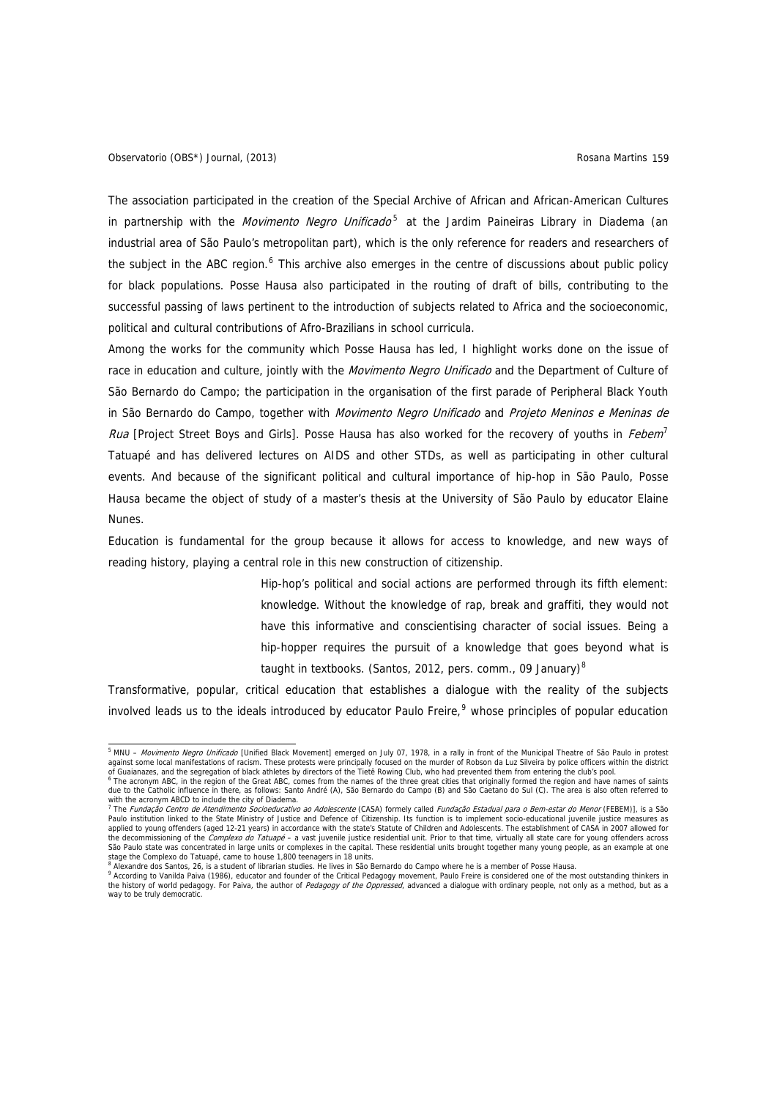The association participated in the creation of the Special Archive of African and African-American Cultures in partnership with the *Movimento Negro Unificado*<sup>[5](#page-6-0)</sup> at the Jardim Paineiras Library in Diadema (an industrial area of São Paulo's metropolitan part), which is the only reference for readers and researchers of the subject in the ABC region.<sup>[6](#page-6-1)</sup> This archive also emerges in the centre of discussions about public policy for black populations. Posse Hausa also participated in the routing of draft of bills, contributing to the successful passing of laws pertinent to the introduction of subjects related to Africa and the socioeconomic, political and cultural contributions of Afro-Brazilians in school curricula.

Among the works for the community which Posse Hausa has led, I highlight works done on the issue of race in education and culture, jointly with the *Movimento Negro Unificado* and the Department of Culture of São Bernardo do Campo; the participation in the organisation of the first parade of Peripheral Black Youth in São Bernardo do Campo, together with Movimento Negro Unificado and Projeto Meninos e Meninas de Rua [Project Street Boys and Girls]. Posse Hausa has also worked for the recovery of youths in Febem<sup>[7](#page-6-2)</sup> Tatuapé and has delivered lectures on AIDS and other STDs, as well as participating in other cultural events. And because of the significant political and cultural importance of hip-hop in São Paulo, Posse Hausa became the object of study of a master's thesis at the University of São Paulo by educator Elaine Nunes.

Education is fundamental for the group because it allows for access to knowledge, and new ways of reading history, playing a central role in this new construction of citizenship.

> Hip-hop's political and social actions are performed through its fifth element: knowledge. Without the knowledge of rap, break and graffiti, they would not have this informative and conscientising character of social issues. Being a hip-hopper requires the pursuit of a knowledge that goes beyond what is taught in textbooks. (Santos, 2012, pers. comm., 09 January) $8$

Transformative, popular, critical education that establishes a dialogue with the reality of the subjects involved leads us to the ideals introduced by educator Paulo Freire,<sup>[9](#page-6-4)</sup> whose principles of popular education

<span id="page-6-0"></span><sup>&</sup>lt;u>s</u><br>In MNU – *Movimento Negro Unificado* [Unified Black Movement] emerged on July 07, 1978, in a rally in front of the Municipal Theatre of São Paulo in protest against some local manifestations of racism. These protests were principally focused on the murder of Robson da Luz Silveira by police officers within the district of Guaianazes, and the segregation of black athletes by directors of the Tietê Rowing Club, who had prevented them from entering the club's pool.<br><sup>6</sup> The acronym ABC, in the region of the Great ABC, comes from the names of

<span id="page-6-1"></span>due to the Catholic influence in there, as follows: Santo André (A), São Bernardo do Campo (B) and São Caetano do Sul (C). The area is also often referred to with the acronym ABCD to include the city of Diadema.

<span id="page-6-2"></span><sup>&</sup>lt;sup>7</sup> The Fundação Centro de Atendimento Socioeducativo ao Adolescente (CASA) formely called Fundação Estadual para o Bem-estar do Menor (FEBEM)], is a São Paulo institution linked to the State Ministry of Justice and Defence of Citizenship. Its function is to implement socio-educational juvenile justice measures as<br>applied to young offenders (aged 12-21 years) in accordance the decommissioning of the Complexo do Tatuapé – a vast juvenile justice residential unit. Prior to that time, virtually all state care for young offenders across São Paulo state was concentrated in large units or complexes in the capital. These residential units brought together many young people, as an example at one

stage the Complexo do Tatuapé, came to house 1,800 teenagers in 18 units.<br><sup>8</sup> Alexandre dos Santos, 26, is a student of librarian studies. He lives in São Bernardo do Campo where he is a member of Posse Hausa.<br><sup>9</sup> Accordin

<span id="page-6-4"></span><span id="page-6-3"></span>According to Vanilda Paiva (1986), educator and founder of the Critical Pedagogy movement, Paulo Freire is considered one of the most outstanding thinkers in the history of world pedagogy. For Paiva, the author of Pedagogy of the Oppressed, advanced a dialogue with ordinary people, not only as a method, but as a way to be truly democratic.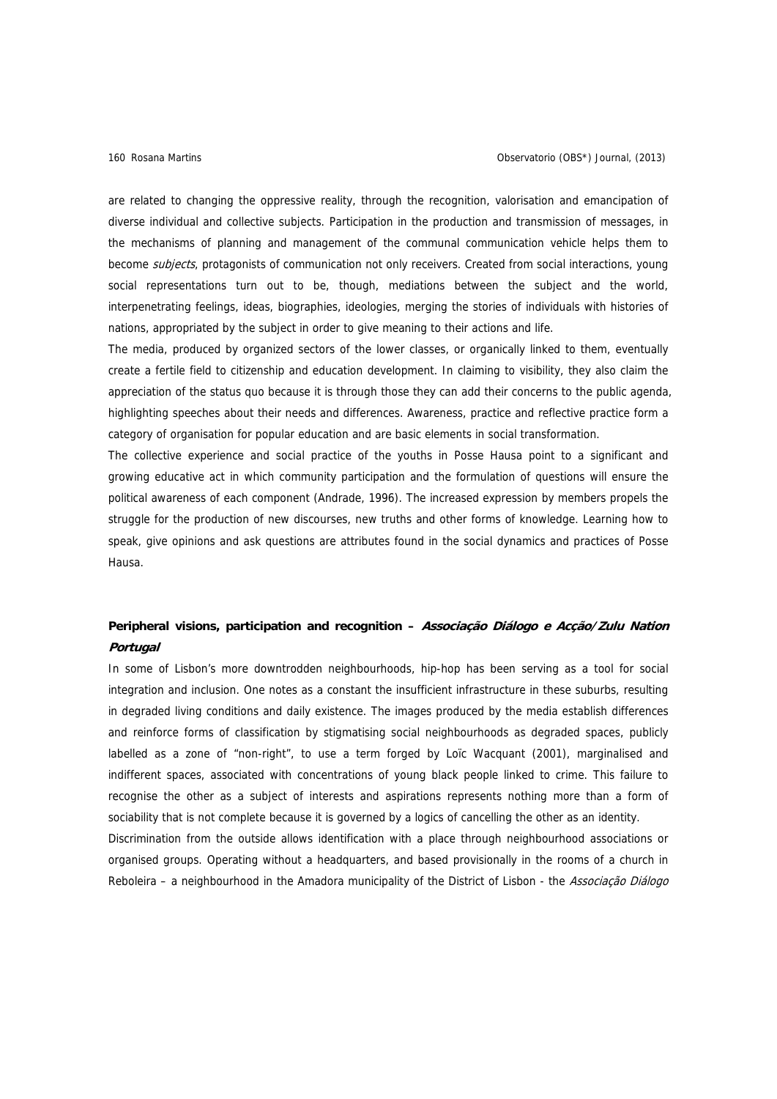are related to changing the oppressive reality, through the recognition, valorisation and emancipation of diverse individual and collective subjects. Participation in the production and transmission of messages, in the mechanisms of planning and management of the communal communication vehicle helps them to become *subjects*, protagonists of communication not only receivers. Created from social interactions, young social representations turn out to be, though, mediations between the subject and the world, interpenetrating feelings, ideas, biographies, ideologies, merging the stories of individuals with histories of nations, appropriated by the subject in order to give meaning to their actions and life.

The media, produced by organized sectors of the lower classes, or organically linked to them, eventually create a fertile field to citizenship and education development. In claiming to visibility, they also claim the appreciation of the status quo because it is through those they can add their concerns to the public agenda, highlighting speeches about their needs and differences. Awareness, practice and reflective practice form a category of organisation for popular education and are basic elements in social transformation.

The collective experience and social practice of the youths in Posse Hausa point to a significant and growing educative act in which community participation and the formulation of questions will ensure the political awareness of each component (Andrade, 1996). The increased expression by members propels the struggle for the production of new discourses, new truths and other forms of knowledge. Learning how to speak, give opinions and ask questions are attributes found in the social dynamics and practices of Posse Hausa.

# **Peripheral visions, participation and recognition – Associação Diálogo e Acção/Zulu Nation Portugal**

In some of Lisbon's more downtrodden neighbourhoods, hip-hop has been serving as a tool for social integration and inclusion. One notes as a constant the insufficient infrastructure in these suburbs, resulting in degraded living conditions and daily existence. The images produced by the media establish differences and reinforce forms of classification by stigmatising social neighbourhoods as degraded spaces, publicly labelled as a zone of "non-right", to use a term forged by Loïc Wacquant (2001), marginalised and indifferent spaces, associated with concentrations of young black people linked to crime. This failure to recognise the other as a subject of interests and aspirations represents nothing more than a form of sociability that is not complete because it is governed by a logics of cancelling the other as an identity.

Discrimination from the outside allows identification with a place through neighbourhood associations or organised groups. Operating without a headquarters, and based provisionally in the rooms of a church in Reboleira – a neighbourhood in the Amadora municipality of the District of Lisbon - the Associação Diálogo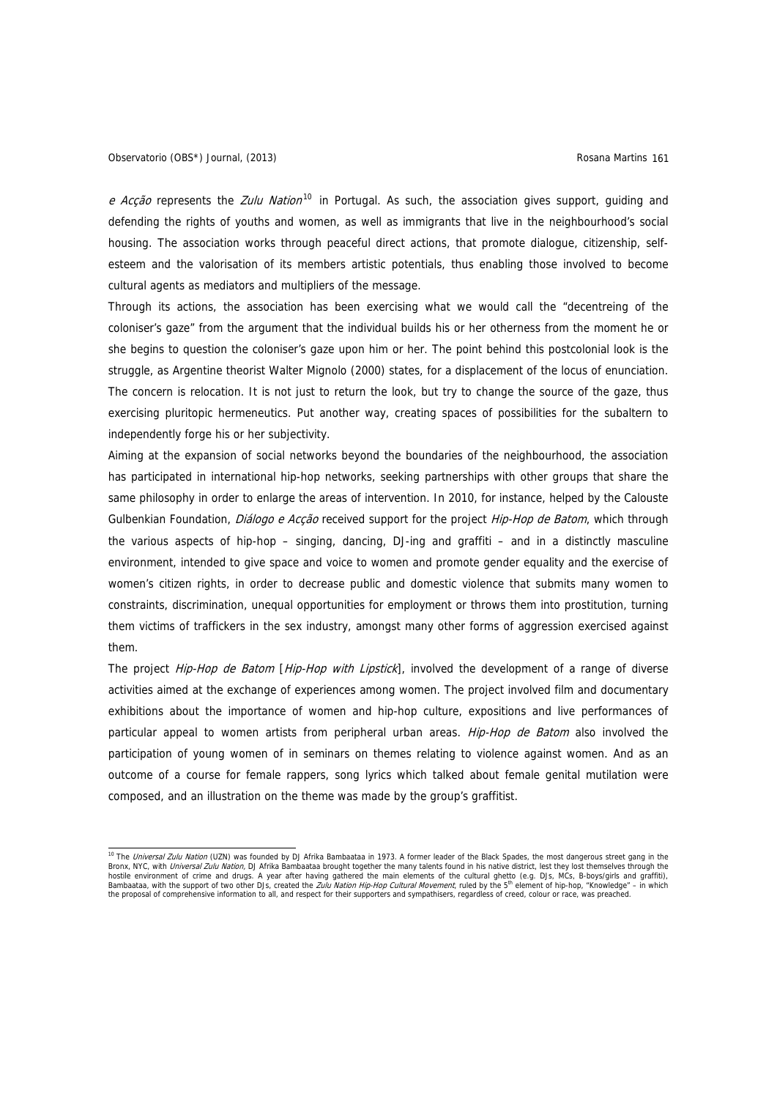e Accão represents the Zulu Nation<sup>[10](#page-8-0)</sup> in Portugal. As such, the association gives support, guiding and defending the rights of youths and women, as well as immigrants that live in the neighbourhood's social housing. The association works through peaceful direct actions, that promote dialogue, citizenship, selfesteem and the valorisation of its members artistic potentials, thus enabling those involved to become cultural agents as mediators and multipliers of the message.

Through its actions, the association has been exercising what we would call the "decentreing of the coloniser's gaze" from the argument that the individual builds his or her otherness from the moment he or she begins to question the coloniser's gaze upon him or her. The point behind this postcolonial look is the struggle, as Argentine theorist Walter Mignolo (2000) states, for a displacement of the locus of enunciation. The concern is relocation. It is not just to return the look, but try to change the source of the gaze, thus exercising pluritopic hermeneutics. Put another way, creating spaces of possibilities for the subaltern to independently forge his or her subjectivity.

Aiming at the expansion of social networks beyond the boundaries of the neighbourhood, the association has participated in international hip-hop networks, seeking partnerships with other groups that share the same philosophy in order to enlarge the areas of intervention. In 2010, for instance, helped by the Calouste Gulbenkian Foundation, Diálogo e Acção received support for the project Hip-Hop de Batom, which through the various aspects of hip-hop – singing, dancing, DJ-ing and graffiti – and in a distinctly masculine environment, intended to give space and voice to women and promote gender equality and the exercise of women's citizen rights, in order to decrease public and domestic violence that submits many women to constraints, discrimination, unequal opportunities for employment or throws them into prostitution, turning them victims of traffickers in the sex industry, amongst many other forms of aggression exercised against them.

The project Hip-Hop de Batom [Hip-Hop with Lipstick], involved the development of a range of diverse activities aimed at the exchange of experiences among women. The project involved film and documentary exhibitions about the importance of women and hip-hop culture, expositions and live performances of particular appeal to women artists from peripheral urban areas. Hip-Hop de Batom also involved the participation of young women of in seminars on themes relating to violence against women. And as an outcome of a course for female rappers, song lyrics which talked about female genital mutilation were composed, and an illustration on the theme was made by the group's graffitist.

<span id="page-8-0"></span><sup>&</sup>lt;sup>10</sup> The *Universal Zulu Nation* (UZN) was founded by DJ Afrika Bambaataa in 1973. A former leader of the Black Spades, the most dangerous street gang in the Bronx, NYC, with *Universal Zulu Nation*, DJ Afrika Bambaataa brought together the many talents found in his native district, lest they lost themselves through the hostile environment of crime and drugs. A year after havin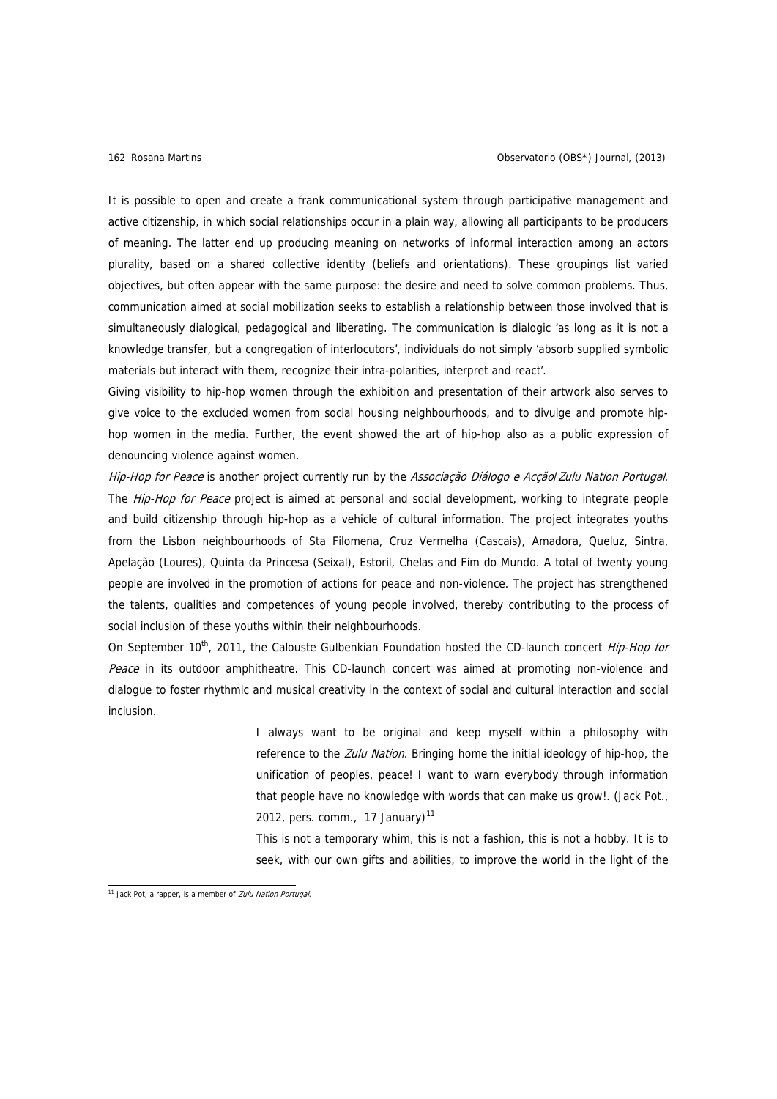It is possible to open and create a frank communicational system through participative management and active citizenship, in which social relationships occur in a plain way, allowing all participants to be producers of meaning. The latter end up producing meaning on networks of informal interaction among an actors plurality, based on a shared collective identity (beliefs and orientations). These groupings list varied objectives, but often appear with the same purpose: the desire and need to solve common problems. Thus, communication aimed at social mobilization seeks to establish a relationship between those involved that is simultaneously dialogical, pedagogical and liberating. The communication is dialogic 'as long as it is not a knowledge transfer, but a congregation of interlocutors', individuals do not simply 'absorb supplied symbolic materials but interact with them, recognize their intra-polarities, interpret and react'.

Giving visibility to hip-hop women through the exhibition and presentation of their artwork also serves to give voice to the excluded women from social housing neighbourhoods, and to divulge and promote hiphop women in the media. Further, the event showed the art of hip-hop also as a public expression of denouncing violence against women.

Hip-Hop for Peace is another project currently run by the Associação Diálogo e Acçãol Zulu Nation Portugal. The *Hip-Hop for Peace* project is aimed at personal and social development, working to integrate people and build citizenship through hip-hop as a vehicle of cultural information. The project integrates youths from the Lisbon neighbourhoods of Sta Filomena, Cruz Vermelha (Cascais), Amadora, Queluz, Sintra, Apelação (Loures), Quinta da Princesa (Seixal), Estoril, Chelas and Fim do Mundo. A total of twenty young people are involved in the promotion of actions for peace and non-violence. The project has strengthened the talents, qualities and competences of young people involved, thereby contributing to the process of social inclusion of these youths within their neighbourhoods.

On September 10<sup>th</sup>, 2011, the Calouste Gulbenkian Foundation hosted the CD-launch concert *Hip-Hop for* Peace in its outdoor amphitheatre. This CD-launch concert was aimed at promoting non-violence and dialogue to foster rhythmic and musical creativity in the context of social and cultural interaction and social inclusion.

> I always want to be original and keep myself within a philosophy with reference to the Zulu Nation. Bringing home the initial ideology of hip-hop, the unification of peoples, peace! I want to warn everybody through information that people have no knowledge with words that can make us grow!. (Jack Pot., 2012, pers. comm., 17 January)<sup>[11](#page-9-0)</sup>

> This is not a temporary whim, this is not a fashion, this is not a hobby. It is to seek, with our own gifts and abilities, to improve the world in the light of the

<span id="page-9-0"></span><sup>&</sup>lt;sup>11</sup> Jack Pot, a rapper, is a member of *Zulu Nation Portugal*.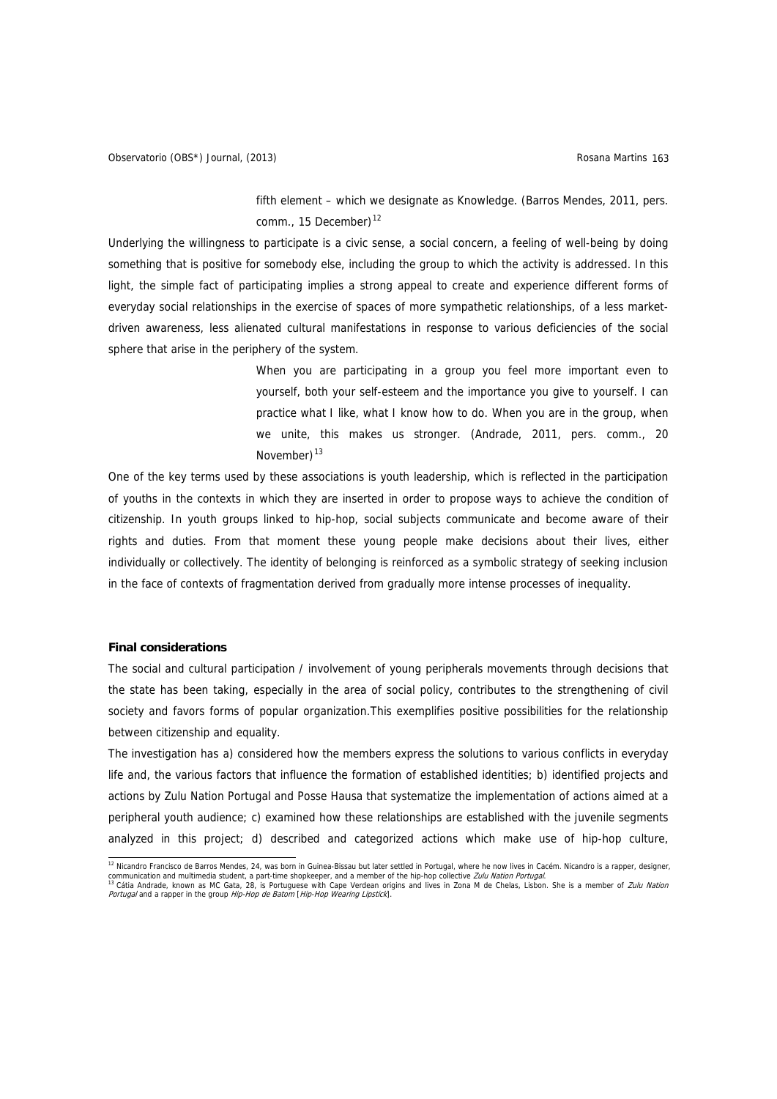fifth element – which we designate as Knowledge. (Barros Mendes, 2011, pers. comm., 15 December)<sup>[12](#page-10-0)</sup>

Underlying the willingness to participate is a civic sense, a social concern, a feeling of well-being by doing something that is positive for somebody else, including the group to which the activity is addressed. In this light, the simple fact of participating implies a strong appeal to create and experience different forms of everyday social relationships in the exercise of spaces of more sympathetic relationships, of a less marketdriven awareness, less alienated cultural manifestations in response to various deficiencies of the social sphere that arise in the periphery of the system.

> When you are participating in a group you feel more important even to yourself, both your self-esteem and the importance you give to yourself. I can practice what I like, what I know how to do. When you are in the group, when we unite, this makes us stronger. (Andrade, 2011, pers. comm., 20 November $1^{13}$  $1^{13}$  $1^{13}$

One of the key terms used by these associations is youth leadership, which is reflected in the participation of youths in the contexts in which they are inserted in order to propose ways to achieve the condition of citizenship. In youth groups linked to hip-hop, social subjects communicate and become aware of their rights and duties. From that moment these young people make decisions about their lives, either individually or collectively. The identity of belonging is reinforced as a symbolic strategy of seeking inclusion in the face of contexts of fragmentation derived from gradually more intense processes of inequality.

#### **Final considerations**

The social and cultural participation / involvement of young peripherals movements through decisions that the state has been taking, especially in the area of social policy, contributes to the strengthening of civil society and favors forms of popular organization.This exemplifies positive possibilities for the relationship between citizenship and equality.

The investigation has a) considered how the members express the solutions to various conflicts in everyday life and, the various factors that influence the formation of established identities; b) identified projects and actions by Zulu Nation Portugal and Posse Hausa that systematize the implementation of actions aimed at a peripheral youth audience; c) examined how these relationships are established with the juvenile segments analyzed in this project; d) described and categorized actions which make use of hip-hop culture,

<span id="page-10-1"></span>

<span id="page-10-0"></span><sup>&</sup>lt;sup>12</sup> Nicandro Francisco de Barros Mendes, 24, was born in Guinea-Bissau but later settled in Portugal, where he now lives in Cacém. Nicandro is a rapper, designer, communication and multimedia student, a part-time shopkeeper, and a member of the hip-hop collective *Zulu Nation Portugal.*<br><sup>13</sup> Cátia Andrade, known as MC Gata, 28, is Portuguese with Cape Verdean origins and lives in Zo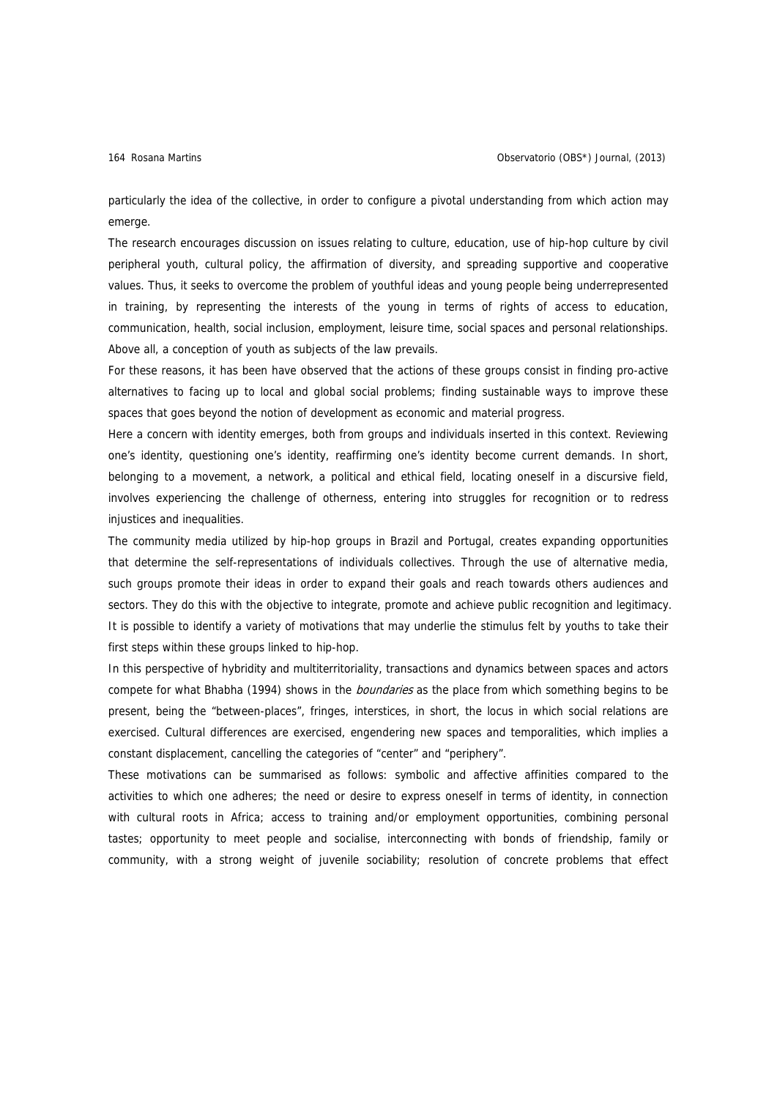particularly the idea of the collective, in order to configure a pivotal understanding from which action may emerge.

The research encourages discussion on issues relating to culture, education, use of hip-hop culture by civil peripheral youth, cultural policy, the affirmation of diversity, and spreading supportive and cooperative values. Thus, it seeks to overcome the problem of youthful ideas and young people being underrepresented in training, by representing the interests of the young in terms of rights of access to education, communication, health, social inclusion, employment, leisure time, social spaces and personal relationships. Above all, a conception of youth as subjects of the law prevails.

For these reasons, it has been have observed that the actions of these groups consist in finding pro-active alternatives to facing up to local and global social problems; finding sustainable ways to improve these spaces that goes beyond the notion of development as economic and material progress.

Here a concern with identity emerges, both from groups and individuals inserted in this context. Reviewing one's identity, questioning one's identity, reaffirming one's identity become current demands. In short, belonging to a movement, a network, a political and ethical field, locating oneself in a discursive field, involves experiencing the challenge of otherness, entering into struggles for recognition or to redress injustices and inequalities.

The community media utilized by hip-hop groups in Brazil and Portugal, creates expanding opportunities that determine the self-representations of individuals collectives. Through the use of alternative media, such groups promote their ideas in order to expand their goals and reach towards others audiences and sectors. They do this with the objective to integrate, promote and achieve public recognition and legitimacy. It is possible to identify a variety of motivations that may underlie the stimulus felt by youths to take their first steps within these groups linked to hip-hop.

In this perspective of hybridity and multiterritoriality, transactions and dynamics between spaces and actors compete for what Bhabha (1994) shows in the *boundaries* as the place from which something begins to be present, being the "between-places", fringes, interstices, in short, the locus in which social relations are exercised. Cultural differences are exercised, engendering new spaces and temporalities, which implies a constant displacement, cancelling the categories of "center" and "periphery".

These motivations can be summarised as follows: symbolic and affective affinities compared to the activities to which one adheres; the need or desire to express oneself in terms of identity, in connection with cultural roots in Africa; access to training and/or employment opportunities, combining personal tastes; opportunity to meet people and socialise, interconnecting with bonds of friendship, family or community, with a strong weight of juvenile sociability; resolution of concrete problems that effect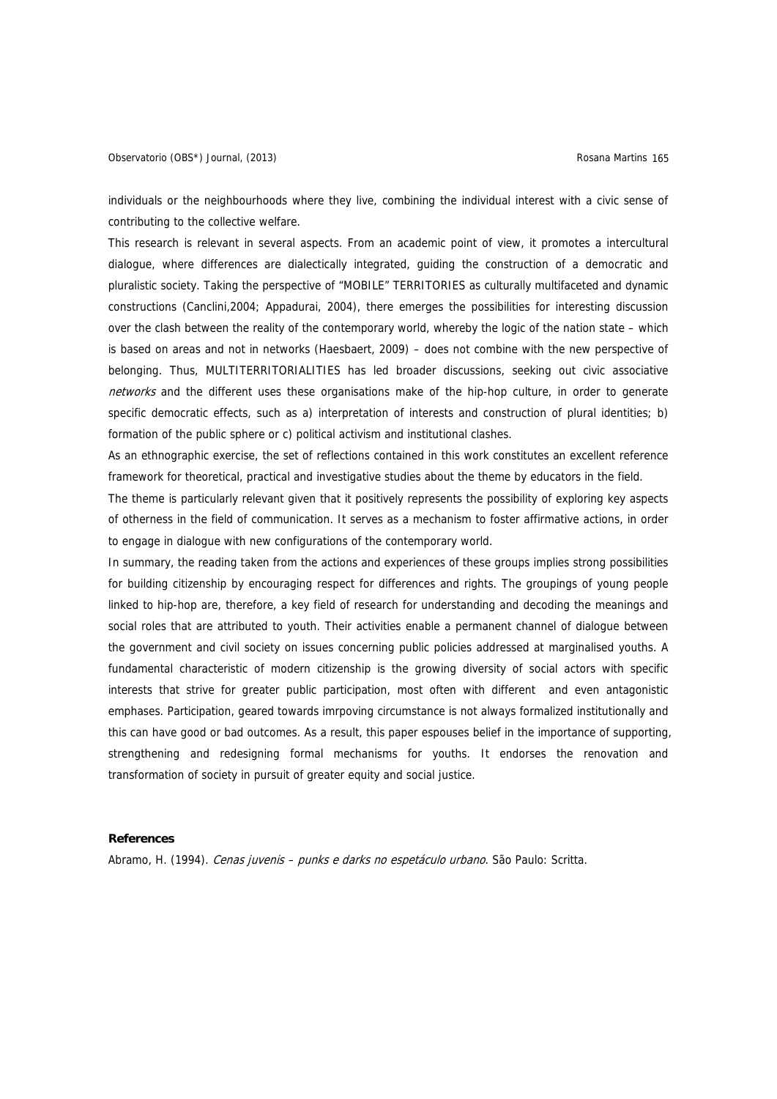individuals or the neighbourhoods where they live, combining the individual interest with a civic sense of contributing to the collective welfare.

This research is relevant in several aspects. From an academic point of view, it promotes a intercultural dialogue, where differences are dialectically integrated, guiding the construction of a democratic and pluralistic society. Taking the perspective of "MOBILE" TERRITORIES as culturally multifaceted and dynamic constructions (Canclini,2004; Appadurai, 2004), there emerges the possibilities for interesting discussion over the clash between the reality of the contemporary world, whereby the logic of the nation state – which is based on areas and not in networks (Haesbaert, 2009) – does not combine with the new perspective of belonging. Thus, MULTITERRITORIALITIES has led broader discussions, seeking out civic associative networks and the different uses these organisations make of the hip-hop culture, in order to generate specific democratic effects, such as a) interpretation of interests and construction of plural identities; b) formation of the public sphere or c) political activism and institutional clashes.

As an ethnographic exercise, the set of reflections contained in this work constitutes an excellent reference framework for theoretical, practical and investigative studies about the theme by educators in the field.

The theme is particularly relevant given that it positively represents the possibility of exploring key aspects of otherness in the field of communication. It serves as a mechanism to foster affirmative actions, in order to engage in dialogue with new configurations of the contemporary world.

In summary, the reading taken from the actions and experiences of these groups implies strong possibilities for building citizenship by encouraging respect for differences and rights. The groupings of young people linked to hip-hop are, therefore, a key field of research for understanding and decoding the meanings and social roles that are attributed to youth. Their activities enable a permanent channel of dialoque between the government and civil society on issues concerning public policies addressed at marginalised youths. A fundamental characteristic of modern citizenship is the growing diversity of social actors with specific interests that strive for greater public participation, most often with different and even antagonistic emphases. Participation, geared towards imrpoving circumstance is not always formalized institutionally and this can have good or bad outcomes. As a result, this paper espouses belief in the importance of supporting, strengthening and redesigning formal mechanisms for youths. It endorses the renovation and transformation of society in pursuit of greater equity and social justice.

### **References**

Abramo, H. (1994). Cenas juvenis - punks e darks no espetáculo urbano. São Paulo: Scritta.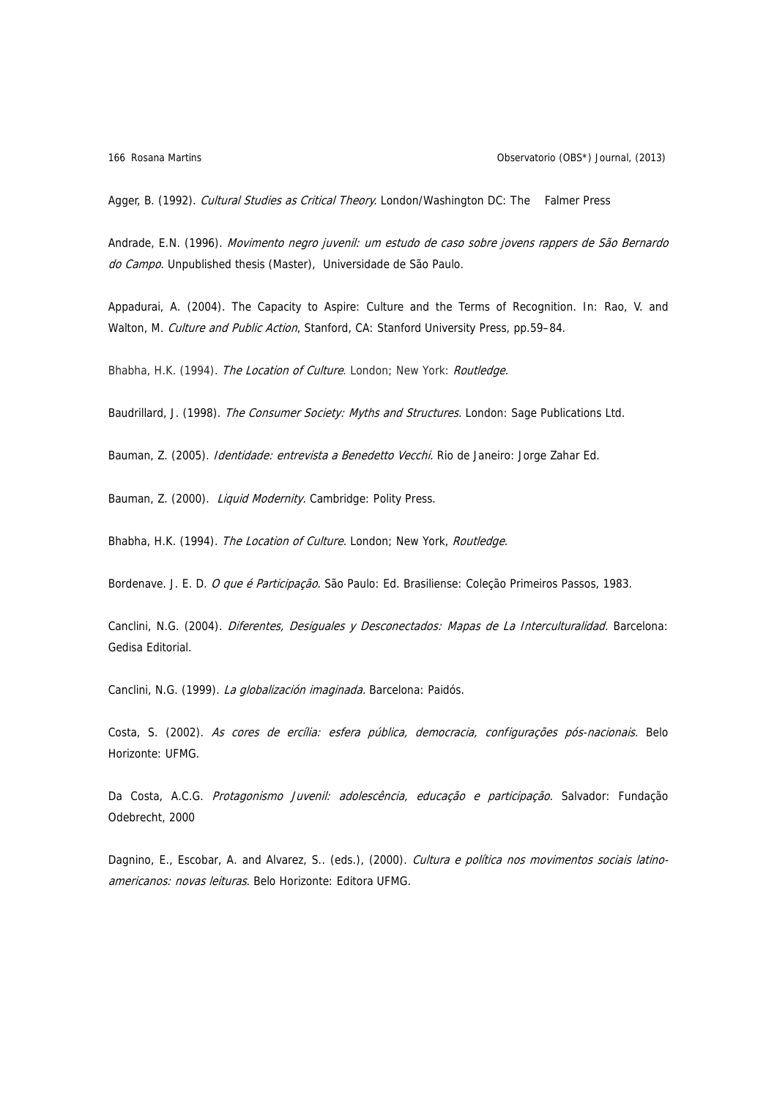Agger, B. (1992). Cultural Studies as Critical Theory. London/Washington DC: The Falmer Press

Andrade, E.N. (1996). Movimento negro juvenil: um estudo de caso sobre jovens rappers de São Bernardo do Campo. Unpublished thesis (Master), Universidade de São Paulo.

Appadurai, A. (2004). The Capacity to Aspire: Culture and the Terms of Recognition. In: Rao, V. and Walton, M. Culture and Public Action, Stanford, CA: Stanford University Press, pp.59-84.

Bhabha, H.K. (1994). The Location of Culture. London; New York: Routledge.

Baudrillard, J. (1998). The Consumer Society: Myths and Structures. London: Sage Publications Ltd.

Bauman, Z. (2005). Identidade: entrevista a Benedetto Vecchi. Rio de Janeiro: Jorge Zahar Ed.

Bauman, Z. (2000). Liquid Modernity. Cambridge: Polity Press.

Bhabha, H.K. (1994). The Location of Culture. London; New York, Routledge.

Bordenave. J. E. D. O que é Participação. São Paulo: Ed. Brasiliense: Coleção Primeiros Passos, 1983.

Canclini, N.G. (2004). Diferentes, Desiguales y Desconectados: Mapas de La Interculturalidad. Barcelona: Gedisa Editorial.

Canclini, N.G. (1999). La globalización imaginada. Barcelona: Paidós.

Costa, S. (2002). As cores de ercília: esfera pública, democracia, configurações pós-nacionais. Belo Horizonte: UFMG.

Da Costa, A.C.G. Protagonismo Juvenil: adolescência, educação e participação. Salvador: Fundação Odebrecht, 2000

Dagnino, E., Escobar, A. and Alvarez, S.. (eds.), (2000). Cultura e política nos movimentos sociais latinoamericanos: novas leituras. Belo Horizonte: Editora UFMG.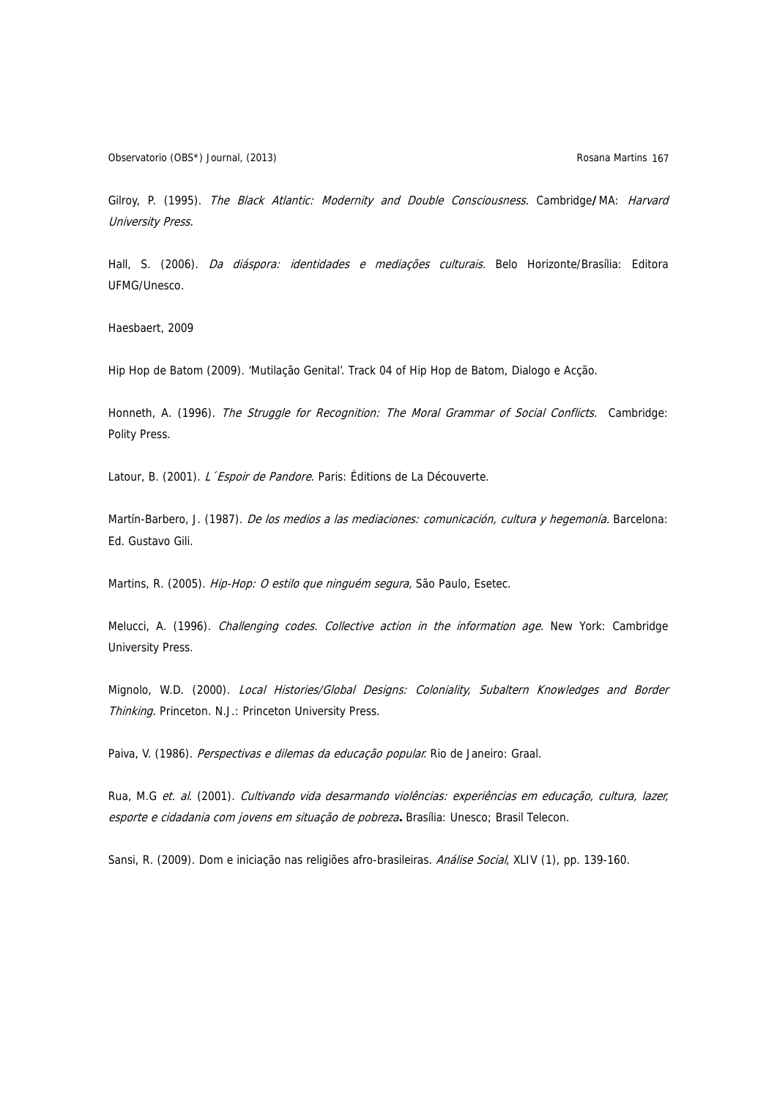Observatorio (OBS\*) Journal, (2013) **Rosana Martins 167** and 2013

Gilroy, P. (1995). The Black Atlantic: Modernity and Double Consciousness. Cambridge**/**MA: Harvard University Press.

Hall, S. (2006). Da diáspora: identidades e mediações culturais. Belo Horizonte/Brasília: Editora UFMG/Unesco.

Haesbaert, 2009

Hip Hop de Batom (2009). 'Mutilação Genital'. Track 04 of Hip Hop de Batom, Dialogo e Acção.

Honneth, A. (1996). The Struggle for Recognition: The Moral Grammar of Social Conflicts. Cambridge: Polity Press.

Latour, B. (2001). L'Espoir de Pandore. Paris: Éditions de La Découverte.

Martín-Barbero, J. (1987). De los medios a las mediaciones: comunicación, cultura y hegemonía. Barcelona: Ed. Gustavo Gili.

Martins, R. (2005). Hip-Hop: O estilo que ninguém segura, São Paulo, Esetec.

Melucci, A. (1996). Challenging codes. Collective action in the information age. New York: Cambridge University Press.

Mignolo, W.D. (2000). Local Histories/Global Designs: Coloniality, Subaltern Knowledges and Border Thinking. Princeton. N.J.: Princeton University Press.

Paiva, V. (1986). Perspectivas e dilemas da educação popular. Rio de Janeiro: Graal.

Rua, M.G et. al. (2001). Cultivando vida desarmando violências: experiências em educação, cultura, lazer, esporte e cidadania com jovens em situação de pobreza**.** Brasília: Unesco; Brasil Telecon.

Sansi, R. (2009). Dom e iniciação nas religiões afro-brasileiras. Análise Social, XLIV (1), pp. 139-160.